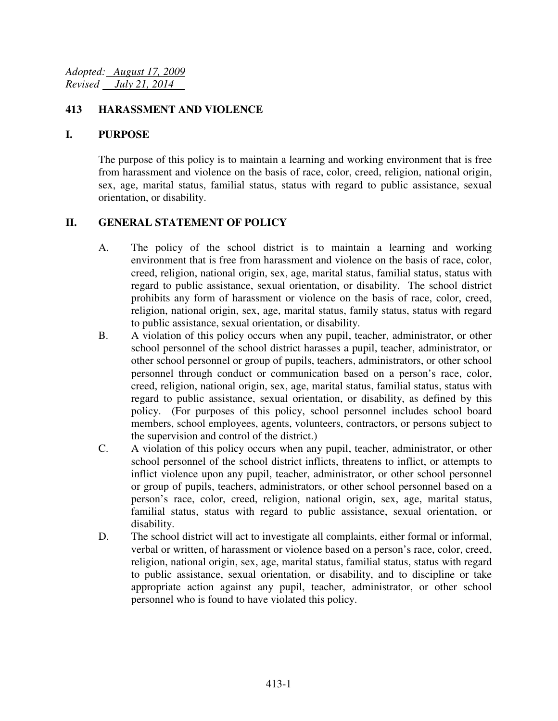#### **413 HARASSMENT AND VIOLENCE**

#### **I. PURPOSE**

The purpose of this policy is to maintain a learning and working environment that is free from harassment and violence on the basis of race, color, creed, religion, national origin, sex, age, marital status, familial status, status with regard to public assistance, sexual orientation, or disability.

### **II. GENERAL STATEMENT OF POLICY**

- A. The policy of the school district is to maintain a learning and working environment that is free from harassment and violence on the basis of race, color, creed, religion, national origin, sex, age, marital status, familial status, status with regard to public assistance, sexual orientation, or disability. The school district prohibits any form of harassment or violence on the basis of race, color, creed, religion, national origin, sex, age, marital status, family status, status with regard to public assistance, sexual orientation, or disability.
- B. A violation of this policy occurs when any pupil, teacher, administrator, or other school personnel of the school district harasses a pupil, teacher, administrator, or other school personnel or group of pupils, teachers, administrators, or other school personnel through conduct or communication based on a person's race, color, creed, religion, national origin, sex, age, marital status, familial status, status with regard to public assistance, sexual orientation, or disability, as defined by this policy. (For purposes of this policy, school personnel includes school board members, school employees, agents, volunteers, contractors, or persons subject to the supervision and control of the district.)
- C. A violation of this policy occurs when any pupil, teacher, administrator, or other school personnel of the school district inflicts, threatens to inflict, or attempts to inflict violence upon any pupil, teacher, administrator, or other school personnel or group of pupils, teachers, administrators, or other school personnel based on a person's race, color, creed, religion, national origin, sex, age, marital status, familial status, status with regard to public assistance, sexual orientation, or disability.
- D. The school district will act to investigate all complaints, either formal or informal, verbal or written, of harassment or violence based on a person's race, color, creed, religion, national origin, sex, age, marital status, familial status, status with regard to public assistance, sexual orientation, or disability, and to discipline or take appropriate action against any pupil, teacher, administrator, or other school personnel who is found to have violated this policy.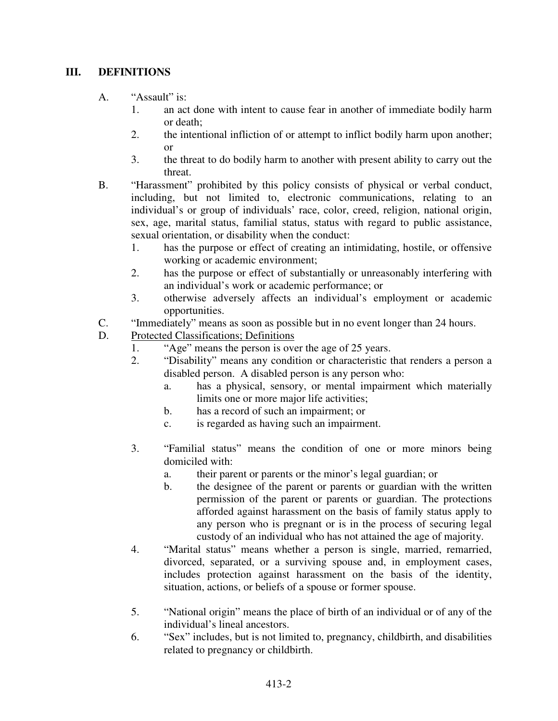## **III. DEFINITIONS**

- A. "Assault" is:
	- 1. an act done with intent to cause fear in another of immediate bodily harm or death;
	- 2. the intentional infliction of or attempt to inflict bodily harm upon another; or
	- 3. the threat to do bodily harm to another with present ability to carry out the threat.
- B. "Harassment" prohibited by this policy consists of physical or verbal conduct, including, but not limited to, electronic communications, relating to an individual's or group of individuals' race, color, creed, religion, national origin, sex, age, marital status, familial status, status with regard to public assistance, sexual orientation, or disability when the conduct:
	- 1. has the purpose or effect of creating an intimidating, hostile, or offensive working or academic environment;
	- 2. has the purpose or effect of substantially or unreasonably interfering with an individual's work or academic performance; or
	- 3. otherwise adversely affects an individual's employment or academic opportunities.
- C. "Immediately" means as soon as possible but in no event longer than 24 hours.
- D. Protected Classifications; Definitions
	- 1. "Age" means the person is over the age of 25 years.<br>2. "Disability" means any condition or characteristic t
	- "Disability" means any condition or characteristic that renders a person a disabled person. A disabled person is any person who:
		- a. has a physical, sensory, or mental impairment which materially limits one or more major life activities;
		- b. has a record of such an impairment; or
		- c. is regarded as having such an impairment.
	- 3. "Familial status" means the condition of one or more minors being domiciled with:
		- a. their parent or parents or the minor's legal guardian; or
		- b. the designee of the parent or parents or guardian with the written permission of the parent or parents or guardian. The protections afforded against harassment on the basis of family status apply to any person who is pregnant or is in the process of securing legal custody of an individual who has not attained the age of majority.
	- 4. "Marital status" means whether a person is single, married, remarried, divorced, separated, or a surviving spouse and, in employment cases, includes protection against harassment on the basis of the identity, situation, actions, or beliefs of a spouse or former spouse.
	- 5. "National origin" means the place of birth of an individual or of any of the individual's lineal ancestors.
	- 6. "Sex" includes, but is not limited to, pregnancy, childbirth, and disabilities related to pregnancy or childbirth.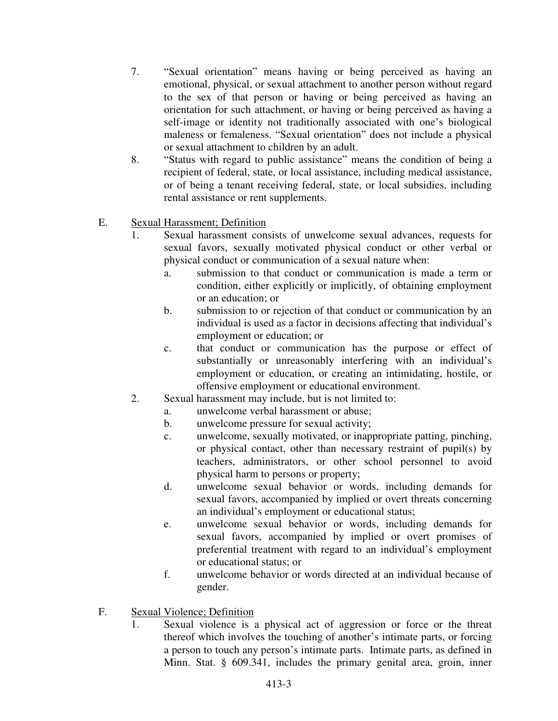- 7. "Sexual orientation" means having or being perceived as having an emotional, physical, or sexual attachment to another person without regard to the sex of that person or having or being perceived as having an orientation for such attachment, or having or being perceived as having a self-image or identity not traditionally associated with one's biological maleness or femaleness. "Sexual orientation" does not include a physical or sexual attachment to children by an adult.
- 8. "Status with regard to public assistance" means the condition of being a recipient of federal, state, or local assistance, including medical assistance, or of being a tenant receiving federal, state, or local subsidies, including rental assistance or rent supplements.

## E. Sexual Harassment; Definition

- 1. Sexual harassment consists of unwelcome sexual advances, requests for sexual favors, sexually motivated physical conduct or other verbal or physical conduct or communication of a sexual nature when:
	- a. submission to that conduct or communication is made a term or condition, either explicitly or implicitly, of obtaining employment or an education; or
	- b. submission to or rejection of that conduct or communication by an individual is used as a factor in decisions affecting that individual's employment or education; or
	- c. that conduct or communication has the purpose or effect of substantially or unreasonably interfering with an individual's employment or education, or creating an intimidating, hostile, or offensive employment or educational environment.
- 2. Sexual harassment may include, but is not limited to:
	- a. unwelcome verbal harassment or abuse;
	- b. unwelcome pressure for sexual activity;
	- c. unwelcome, sexually motivated, or inappropriate patting, pinching, or physical contact, other than necessary restraint of pupil(s) by teachers, administrators, or other school personnel to avoid physical harm to persons or property;
	- d. unwelcome sexual behavior or words, including demands for sexual favors, accompanied by implied or overt threats concerning an individual's employment or educational status;
	- e. unwelcome sexual behavior or words, including demands for sexual favors, accompanied by implied or overt promises of preferential treatment with regard to an individual's employment or educational status; or
	- f. unwelcome behavior or words directed at an individual because of gender.
- F. Sexual Violence; Definition
	- 1. Sexual violence is a physical act of aggression or force or the threat thereof which involves the touching of another's intimate parts, or forcing a person to touch any person's intimate parts. Intimate parts, as defined in Minn. Stat. § 609.341, includes the primary genital area, groin, inner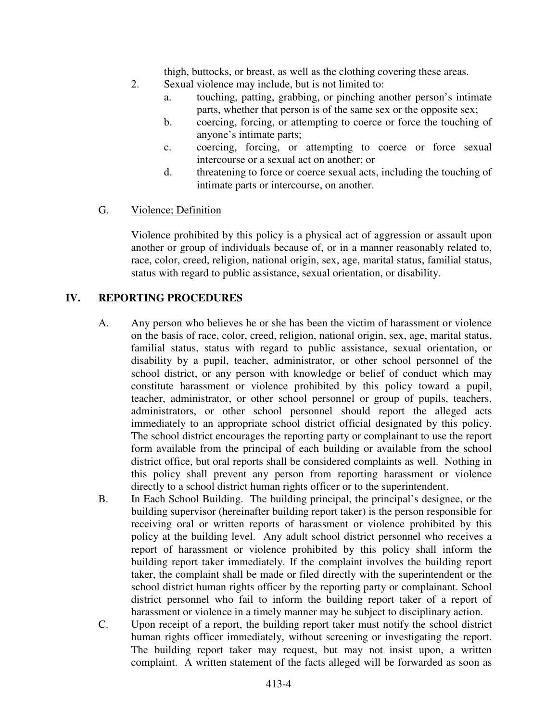thigh, buttocks, or breast, as well as the clothing covering these areas.

- 2. Sexual violence may include, but is not limited to:
	- a. touching, patting, grabbing, or pinching another person's intimate parts, whether that person is of the same sex or the opposite sex;
	- b. coercing, forcing, or attempting to coerce or force the touching of anyone's intimate parts;
	- c. coercing, forcing, or attempting to coerce or force sexual intercourse or a sexual act on another; or
	- d. threatening to force or coerce sexual acts, including the touching of intimate parts or intercourse, on another.
- G. Violence; Definition

Violence prohibited by this policy is a physical act of aggression or assault upon another or group of individuals because of, or in a manner reasonably related to, race, color, creed, religion, national origin, sex, age, marital status, familial status, status with regard to public assistance, sexual orientation, or disability.

## **IV. REPORTING PROCEDURES**

- A. Any person who believes he or she has been the victim of harassment or violence on the basis of race, color, creed, religion, national origin, sex, age, marital status, familial status, status with regard to public assistance, sexual orientation, or disability by a pupil, teacher, administrator, or other school personnel of the school district, or any person with knowledge or belief of conduct which may constitute harassment or violence prohibited by this policy toward a pupil, teacher, administrator, or other school personnel or group of pupils, teachers, administrators, or other school personnel should report the alleged acts immediately to an appropriate school district official designated by this policy. The school district encourages the reporting party or complainant to use the report form available from the principal of each building or available from the school district office, but oral reports shall be considered complaints as well. Nothing in this policy shall prevent any person from reporting harassment or violence directly to a school district human rights officer or to the superintendent.
- B. In Each School Building. The building principal, the principal's designee, or the building supervisor (hereinafter building report taker) is the person responsible for receiving oral or written reports of harassment or violence prohibited by this policy at the building level. Any adult school district personnel who receives a report of harassment or violence prohibited by this policy shall inform the building report taker immediately. If the complaint involves the building report taker, the complaint shall be made or filed directly with the superintendent or the school district human rights officer by the reporting party or complainant. School district personnel who fail to inform the building report taker of a report of harassment or violence in a timely manner may be subject to disciplinary action.
- C. Upon receipt of a report, the building report taker must notify the school district human rights officer immediately, without screening or investigating the report. The building report taker may request, but may not insist upon, a written complaint. A written statement of the facts alleged will be forwarded as soon as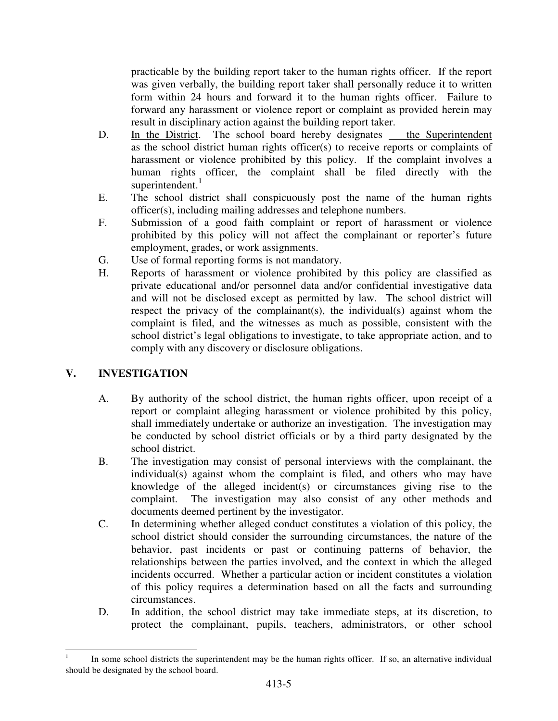practicable by the building report taker to the human rights officer. If the report was given verbally, the building report taker shall personally reduce it to written form within 24 hours and forward it to the human rights officer. Failure to forward any harassment or violence report or complaint as provided herein may result in disciplinary action against the building report taker.

- D. In the District. The school board hereby designates the Superintendent as the school district human rights officer(s) to receive reports or complaints of harassment or violence prohibited by this policy. If the complaint involves a human rights officer, the complaint shall be filed directly with the superintendent. $<sup>1</sup>$ </sup>
- E. The school district shall conspicuously post the name of the human rights officer(s), including mailing addresses and telephone numbers.
- F. Submission of a good faith complaint or report of harassment or violence prohibited by this policy will not affect the complainant or reporter's future employment, grades, or work assignments.
- G. Use of formal reporting forms is not mandatory.
- H. Reports of harassment or violence prohibited by this policy are classified as private educational and/or personnel data and/or confidential investigative data and will not be disclosed except as permitted by law. The school district will respect the privacy of the complainant(s), the individual(s) against whom the complaint is filed, and the witnesses as much as possible, consistent with the school district's legal obligations to investigate, to take appropriate action, and to comply with any discovery or disclosure obligations.

# **V. INVESTIGATION**

l.

- A. By authority of the school district, the human rights officer, upon receipt of a report or complaint alleging harassment or violence prohibited by this policy, shall immediately undertake or authorize an investigation. The investigation may be conducted by school district officials or by a third party designated by the school district.
- B. The investigation may consist of personal interviews with the complainant, the individual(s) against whom the complaint is filed, and others who may have knowledge of the alleged incident(s) or circumstances giving rise to the complaint. The investigation may also consist of any other methods and documents deemed pertinent by the investigator.
- C. In determining whether alleged conduct constitutes a violation of this policy, the school district should consider the surrounding circumstances, the nature of the behavior, past incidents or past or continuing patterns of behavior, the relationships between the parties involved, and the context in which the alleged incidents occurred. Whether a particular action or incident constitutes a violation of this policy requires a determination based on all the facts and surrounding circumstances.
- D. In addition, the school district may take immediate steps, at its discretion, to protect the complainant, pupils, teachers, administrators, or other school

<sup>1</sup> In some school districts the superintendent may be the human rights officer. If so, an alternative individual should be designated by the school board.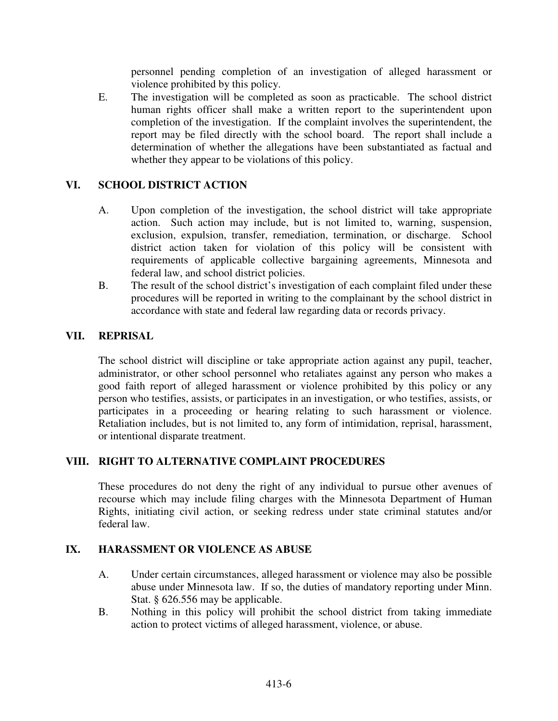personnel pending completion of an investigation of alleged harassment or violence prohibited by this policy.

E. The investigation will be completed as soon as practicable. The school district human rights officer shall make a written report to the superintendent upon completion of the investigation. If the complaint involves the superintendent, the report may be filed directly with the school board. The report shall include a determination of whether the allegations have been substantiated as factual and whether they appear to be violations of this policy.

### **VI. SCHOOL DISTRICT ACTION**

- A. Upon completion of the investigation, the school district will take appropriate action. Such action may include, but is not limited to, warning, suspension, exclusion, expulsion, transfer, remediation, termination, or discharge. School district action taken for violation of this policy will be consistent with requirements of applicable collective bargaining agreements, Minnesota and federal law, and school district policies.
- B. The result of the school district's investigation of each complaint filed under these procedures will be reported in writing to the complainant by the school district in accordance with state and federal law regarding data or records privacy.

## **VII. REPRISAL**

The school district will discipline or take appropriate action against any pupil, teacher, administrator, or other school personnel who retaliates against any person who makes a good faith report of alleged harassment or violence prohibited by this policy or any person who testifies, assists, or participates in an investigation, or who testifies, assists, or participates in a proceeding or hearing relating to such harassment or violence. Retaliation includes, but is not limited to, any form of intimidation, reprisal, harassment, or intentional disparate treatment.

## **VIII. RIGHT TO ALTERNATIVE COMPLAINT PROCEDURES**

These procedures do not deny the right of any individual to pursue other avenues of recourse which may include filing charges with the Minnesota Department of Human Rights, initiating civil action, or seeking redress under state criminal statutes and/or federal law.

#### **IX. HARASSMENT OR VIOLENCE AS ABUSE**

- A. Under certain circumstances, alleged harassment or violence may also be possible abuse under Minnesota law. If so, the duties of mandatory reporting under Minn. Stat. § 626.556 may be applicable.
- B. Nothing in this policy will prohibit the school district from taking immediate action to protect victims of alleged harassment, violence, or abuse.